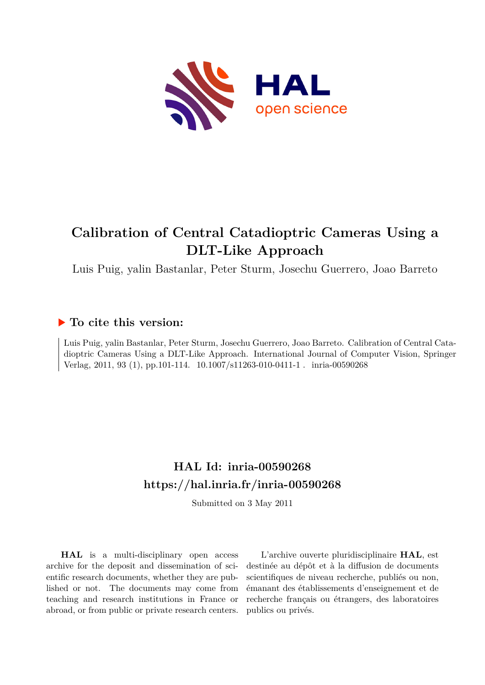

# **Calibration of Central Catadioptric Cameras Using a DLT-Like Approach**

Luis Puig, yalin Bastanlar, Peter Sturm, Josechu Guerrero, Joao Barreto

## **To cite this version:**

Luis Puig, yalin Bastanlar, Peter Sturm, Josechu Guerrero, Joao Barreto. Calibration of Central Catadioptric Cameras Using a DLT-Like Approach. International Journal of Computer Vision, Springer Verlag, 2011, 93 (1), pp.101-114.  $10.1007 \mid s11263-010-0411-1$ . inria-00590268

## **HAL Id: inria-00590268 <https://hal.inria.fr/inria-00590268>**

Submitted on 3 May 2011

**HAL** is a multi-disciplinary open access archive for the deposit and dissemination of scientific research documents, whether they are published or not. The documents may come from teaching and research institutions in France or abroad, or from public or private research centers.

L'archive ouverte pluridisciplinaire **HAL**, est destinée au dépôt et à la diffusion de documents scientifiques de niveau recherche, publiés ou non, émanant des établissements d'enseignement et de recherche français ou étrangers, des laboratoires publics ou privés.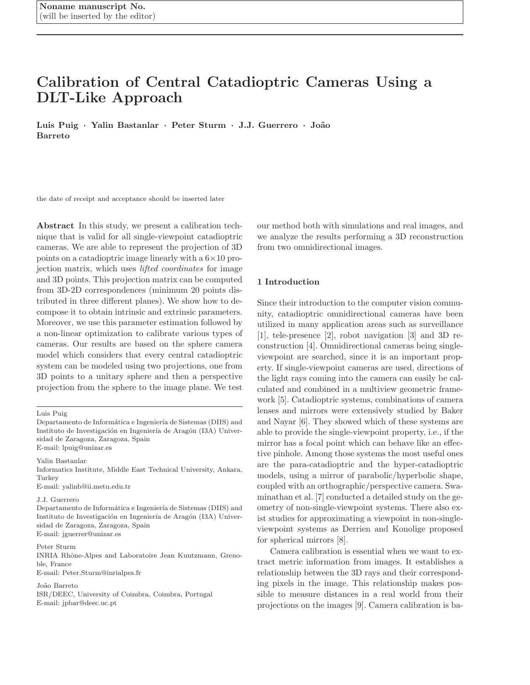## Calibration of Central Catadioptric Cameras Using a DLT-Like Approach

Luis Puig · Yalin Bastanlar · Peter Sturm · J.J. Guerrero · João Barreto

the date of receipt and acceptance should be inserted later

Abstract In this study, we present a calibration technique that is valid for all single-viewpoint catadioptric cameras. We are able to represent the projection of 3D points on a catadioptric image linearly with a  $6\times10$  projection matrix, which uses lifted coordinates for image and 3D points. This projection matrix can be computed from 3D-2D correspondences (minimum 20 points distributed in three different planes). We show how to decompose it to obtain intrinsic and extrinsic parameters. Moreover, we use this parameter estimation followed by a non-linear optimization to calibrate various types of cameras. Our results are based on the sphere camera model which considers that every central catadioptric system can be modeled using two projections, one from 3D points to a unitary sphere and then a perspective projection from the sphere to the image plane. We test

Yalin Bastanlar

Informatics Institute, Middle East Technical University, Ankara, Turkey

E-mail: yalinb@ii.metu.edu.tr

Peter Sturm

INRIA Rhˆone-Alpes and Laboratoire Jean Kuntzmann, Grenoble, France

E-mail: Peter.Sturm@inrialpes.fr

João Barreto

ISR/DEEC, University of Coimbra, Coimbra, Portugal E-mail: jpbar@deec.uc.pt

our method both with simulations and real images, and we analyze the results performing a 3D reconstruction from two omnidirectional images.

## 1 Introduction

Since their introduction to the computer vision community, catadioptric omnidirectional cameras have been utilized in many application areas such as surveillance [1], tele-presence [2], robot navigation [3] and 3D reconstruction [4]. Omnidirectional cameras being singleviewpoint are searched, since it is an important property. If single-viewpoint cameras are used, directions of the light rays coming into the camera can easily be calculated and combined in a multiview geometric framework [5]. Catadioptric systems, combinations of camera lenses and mirrors were extensively studied by Baker and Nayar [6]. They showed which of these systems are able to provide the single-viewpoint property, i.e., if the mirror has a focal point which can behave like an effective pinhole. Among those systems the most useful ones are the para-catadioptric and the hyper-catadioptric models, using a mirror of parabolic/hyperbolic shape, coupled with an orthographic/perspective camera. Swaminathan et al. [7] conducted a detailed study on the geometry of non-single-viewpoint systems. There also exist studies for approximating a viewpoint in non-singleviewpoint systems as Derrien and Konolige proposed for spherical mirrors [8].

Camera calibration is essential when we want to extract metric information from images. It establishes a relationship between the 3D rays and their corresponding pixels in the image. This relationship makes possible to measure distances in a real world from their projections on the images [9]. Camera calibration is ba-

Luis Puig

Departamento de Informática e Ingeniería de Sistemas (DIIS) and Instituto de Investigación en Ingeniería de Aragón (I3A) Universidad de Zaragoza, Zaragoza, Spain E-mail: lpuig@unizar.es

J.J. Guerrero

Departamento de Informática e Ingeniería de Sistemas (DIIS) and Instituto de Investigación en Ingeniería de Aragón (I3A) Universidad de Zaragoza, Zaragoza, Spain E-mail: jguerrer@unizar.es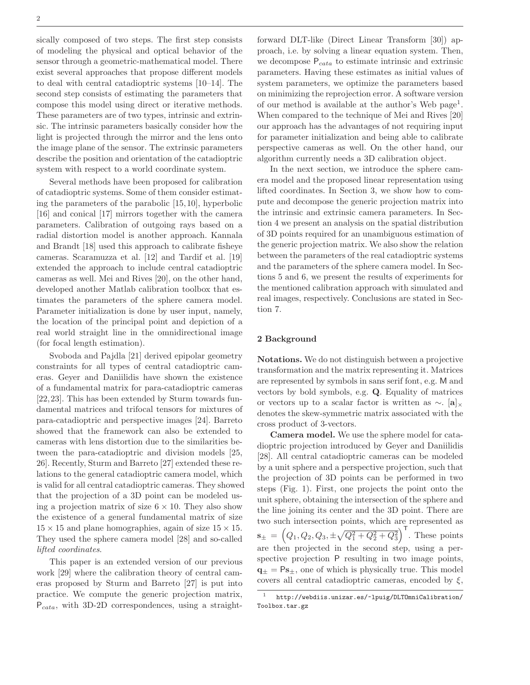sically composed of two steps. The first step consists of modeling the physical and optical behavior of the sensor through a geometric-mathematical model. There exist several approaches that propose different models to deal with central catadioptric systems [10–14]. The second step consists of estimating the parameters that compose this model using direct or iterative methods. These parameters are of two types, intrinsic and extrinsic. The intrinsic parameters basically consider how the light is projected through the mirror and the lens onto the image plane of the sensor. The extrinsic parameters describe the position and orientation of the catadioptric system with respect to a world coordinate system.

Several methods have been proposed for calibration of catadioptric systems. Some of them consider estimating the parameters of the parabolic [15,10], hyperbolic [16] and conical [17] mirrors together with the camera parameters. Calibration of outgoing rays based on a radial distortion model is another approach. Kannala and Brandt [18] used this approach to calibrate fisheye cameras. Scaramuzza et al. [12] and Tardif et al. [19] extended the approach to include central catadioptric cameras as well. Mei and Rives [20], on the other hand, developed another Matlab calibration toolbox that estimates the parameters of the sphere camera model. Parameter initialization is done by user input, namely, the location of the principal point and depiction of a real world straight line in the omnidirectional image (for focal length estimation).

Svoboda and Pajdla [21] derived epipolar geometry constraints for all types of central catadioptric cameras. Geyer and Daniilidis have shown the existence of a fundamental matrix for para-catadioptric cameras [22,23]. This has been extended by Sturm towards fundamental matrices and trifocal tensors for mixtures of para-catadioptric and perspective images [24]. Barreto showed that the framework can also be extended to cameras with lens distortion due to the similarities between the para-catadioptric and division models [25, 26]. Recently, Sturm and Barreto [27] extended these relations to the general catadioptric camera model, which is valid for all central catadioptric cameras. They showed that the projection of a 3D point can be modeled using a projection matrix of size  $6 \times 10$ . They also show the existence of a general fundamental matrix of size  $15 \times 15$  and plane homographies, again of size  $15 \times 15$ . They used the sphere camera model [28] and so-called lifted coordinates.

This paper is an extended version of our previous work [29] where the calibration theory of central cameras proposed by Sturm and Barreto [27] is put into practice. We compute the generic projection matrix,  $P_{cata}$ , with 3D-2D correspondences, using a straight-

forward DLT-like (Direct Linear Transform [30]) approach, i.e. by solving a linear equation system. Then, we decompose  $P_{\text{cata}}$  to estimate intrinsic and extrinsic parameters. Having these estimates as initial values of system parameters, we optimize the parameters based on minimizing the reprojection error. A software version of our method is available at the author's Web page<sup>1</sup>. When compared to the technique of Mei and Rives [20] our approach has the advantages of not requiring input for parameter initialization and being able to calibrate perspective cameras as well. On the other hand, our algorithm currently needs a 3D calibration object.

In the next section, we introduce the sphere camera model and the proposed linear representation using lifted coordinates. In Section 3, we show how to compute and decompose the generic projection matrix into the intrinsic and extrinsic camera parameters. In Section 4 we present an analysis on the spatial distribution of 3D points required for an unambiguous estimation of the generic projection matrix. We also show the relation between the parameters of the real catadioptric systems and the parameters of the sphere camera model. In Sections 5 and 6, we present the results of experiments for the mentioned calibration approach with simulated and real images, respectively. Conclusions are stated in Section 7.

#### 2 Background

Notations. We do not distinguish between a projective transformation and the matrix representing it. Matrices are represented by symbols in sans serif font, e.g. M and vectors by bold symbols, e.g. Q. Equality of matrices or vectors up to a scalar factor is written as  $\sim$ . [a]<sub>×</sub> denotes the skew-symmetric matrix associated with the cross product of 3-vectors.

Camera model. We use the sphere model for catadioptric projection introduced by Geyer and Daniilidis [28]. All central catadioptric cameras can be modeled by a unit sphere and a perspective projection, such that the projection of 3D points can be performed in two steps (Fig. 1). First, one projects the point onto the unit sphere, obtaining the intersection of the sphere and the line joining its center and the 3D point. There are two such intersection points, which are represented as  $\mathbf{s}_{\pm} = (Q_1, Q_2, Q_3, \pm \sqrt{Q_1^2 + Q_2^2 + Q_3^2})^{\mathsf{T}}$ . These points are then projected in the second step, using a perspective projection P resulting in two image points,  $q_{+} = Ps_{+}$ , one of which is physically true. This model covers all central catadioptric cameras, encoded by  $\xi$ ,

<sup>1</sup> http://webdiis.unizar.es/~lpuig/DLTOmniCalibration/ Toolbox.tar.gz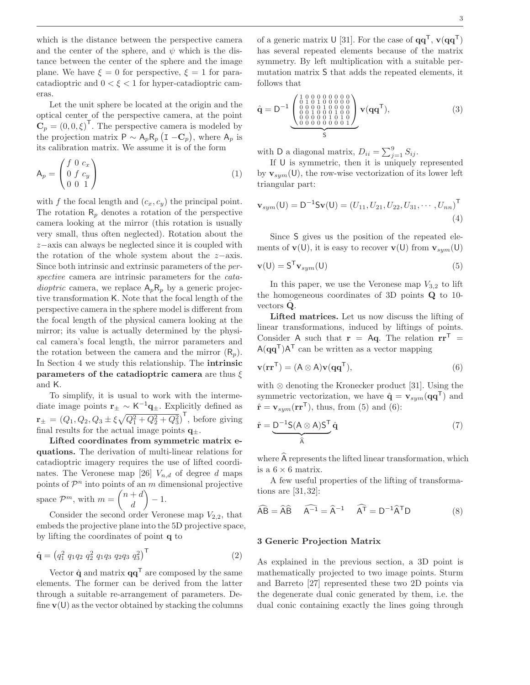which is the distance between the perspective camera and the center of the sphere, and  $\psi$  which is the distance between the center of the sphere and the image plane. We have  $\xi = 0$  for perspective,  $\xi = 1$  for paracatadioptric and  $0 < \xi < 1$  for hyper-catadioptric cameras.

Let the unit sphere be located at the origin and the optical center of the perspective camera, at the point  $\mathbf{C}_p = (0, 0, \xi)^\mathsf{T}$ . The perspective camera is modeled by the projection matrix  $P \sim A_p R_p (I - C_p)$ , where  $A_p$  is its calibration matrix. We assume it is of the form

$$
\mathsf{A}_p = \begin{pmatrix} f & 0 & c_x \\ 0 & f & c_y \\ 0 & 0 & 1 \end{pmatrix} \tag{1}
$$

with f the focal length and  $(c_x, c_y)$  the principal point. The rotation  $R_p$  denotes a rotation of the perspective camera looking at the mirror (this rotation is usually very small, thus often neglected). Rotation about the z−axis can always be neglected since it is coupled with the rotation of the whole system about the z−axis. Since both intrinsic and extrinsic parameters of the perspective camera are intrinsic parameters for the *catadioptric* camera, we replace  $A_pR_p$  by a generic projective transformation K. Note that the focal length of the perspective camera in the sphere model is different from the focal length of the physical camera looking at the mirror; its value is actually determined by the physical camera's focal length, the mirror parameters and the rotation between the camera and the mirror  $(R_p)$ . In Section 4 we study this relationship. The intrinsic parameters of the catadioptric camera are thus  $\xi$ and K.

To simplify, it is usual to work with the intermediate image points  $\mathbf{r}_{\pm} \sim \mathsf{K}^{-1} \mathbf{q}_{\pm}$ . Explicitly defined as  $\mathbf{r}_{\pm} = (Q_1, Q_2, Q_3 \pm \overline{\xi} \sqrt{Q_1^2 + Q_2^2 + Q_3^2})^{\mathsf{T}}$ , before giving final results for the actual image points  $q_{+}$ .

Lifted coordinates from symmetric matrix equations. The derivation of multi-linear relations for catadioptric imagery requires the use of lifted coordinates. The Veronese map [26]  $V_{n,d}$  of degree d maps points of  $\mathcal{P}^n$  into points of an m dimensional projective space  $\mathcal{P}^m$ , with  $m = \begin{pmatrix} n+d \\ d \end{pmatrix}$ d  $\overline{\phantom{0}}$ − 1.

Consider the second order Veronese map  $V_{2,2}$ , that embeds the projective plane into the 5D projective space, by lifting the coordinates of point q to

$$
\hat{\mathbf{q}} = \left(q_1^2 \ q_1 q_2 \ q_2^2 \ q_1 q_3 \ q_2 q_3 \ q_3^2\right)^{\mathsf{T}}
$$
\n(2)

Vector  $\hat{\mathbf{q}}$  and matrix  $\mathbf{q}\mathbf{q}^{\mathsf{T}}$  are composed by the same elements. The former can be derived from the latter through a suitable re-arrangement of parameters. Define  $\mathbf{v}(\mathsf{U})$  as the vector obtained by stacking the columns

of a generic matrix U [31]. For the case of  $qq^{\mathsf{T}}$ ,  $\mathbf{v}(qq^{\mathsf{T}})$ has several repeated elements because of the matrix symmetry. By left multiplication with a suitable permutation matrix S that adds the repeated elements, it follows that

$$
\hat{\mathbf{q}} = \mathbf{D}^{-1} \underbrace{\begin{pmatrix} 1 & 0 & 0 & 0 & 0 & 0 & 0 & 0 & 0 \\ 0 & 1 & 0 & 1 & 0 & 0 & 0 & 0 & 0 \\ 0 & 0 & 0 & 1 & 0 & 0 & 0 & 0 \\ 0 & 0 & 1 & 0 & 0 & 0 & 1 & 0 \\ 0 & 0 & 0 & 0 & 0 & 0 & 0 & 1 \end{pmatrix}}_{S} \mathbf{v}(\mathbf{q}\mathbf{q}^{\mathsf{T}}), \tag{3}
$$

with D a diagonal matrix,  $D_{ii} = \sum_{j=1}^{9} S_{ij}$ .

If U is symmetric, then it is uniquely represented by  $\mathbf{v}_{sum}(\mathsf{U})$ , the row-wise vectorization of its lower left triangular part:

$$
\mathbf{v}_{sym}(\mathsf{U}) = \mathsf{D}^{-1}\mathsf{S}\mathbf{v}(\mathsf{U}) = (U_{11}, U_{21}, U_{22}, U_{31}, \cdots, U_{nn})^{\mathsf{T}} \tag{4}
$$

Since S gives us the position of the repeated elements of  $\mathbf{v}(\mathsf{U})$ , it is easy to recover  $\mathbf{v}(\mathsf{U})$  from  $\mathbf{v}_{sum}(\mathsf{U})$ 

$$
\mathbf{v}(\mathsf{U}) = \mathsf{S}^{\mathsf{T}} \mathbf{v}_{sym}(\mathsf{U}) \tag{5}
$$

In this paper, we use the Veronese map  $V_{3,2}$  to lift the homogeneous coordinates of 3D points Q to 10 vectors  $Q$ .

Lifted matrices. Let us now discuss the lifting of linear transformations, induced by liftings of points. Consider A such that  $\mathbf{r} = A\mathbf{q}$ . The relation  $\mathbf{r}\mathbf{r}^{\mathsf{T}} =$  $A(\mathbf{q}\mathbf{q}^{\mathsf{T}})A^{\mathsf{T}}$  can be written as a vector mapping

$$
\mathbf{v}(\mathbf{r}\mathbf{r}^{\mathsf{T}}) = (\mathbf{A} \otimes \mathbf{A})\mathbf{v}(\mathbf{q}\mathbf{q}^{\mathsf{T}}),\tag{6}
$$

with ⊗ denoting the Kronecker product [31]. Using the symmetric vectorization, we have  $\hat{\mathbf{q}} = \mathbf{v}_{sym}(\mathbf{q}\mathbf{q}^{\mathsf{T}})$  and  $\hat{\mathbf{r}} = \mathbf{v}_{sym}(\mathbf{r}\mathbf{r}^{\mathsf{T}})$ , thus, from (5) and (6):

$$
\hat{\mathbf{r}} = \underbrace{\mathbf{D}^{-1} \mathbf{S} (\mathbf{A} \otimes \mathbf{A}) \mathbf{S}^{\mathsf{T}}}_{\hat{\mathbf{A}}} \hat{\mathbf{q}} \tag{7}
$$

where A represents the lifted linear transformation, which is a  $6 \times 6$  matrix.

A few useful properties of the lifting of transformations are [31,32]:

$$
\widehat{AB} = \widehat{A}\widehat{B} \qquad \widehat{A^{-1}} = \widehat{A}^{-1} \qquad \widehat{A}^T = D^{-1}\widehat{A}^T D \tag{8}
$$

## 3 Generic Projection Matrix

As explained in the previous section, a 3D point is mathematically projected to two image points. Sturm and Barreto [27] represented these two 2D points via the degenerate dual conic generated by them, i.e. the dual conic containing exactly the lines going through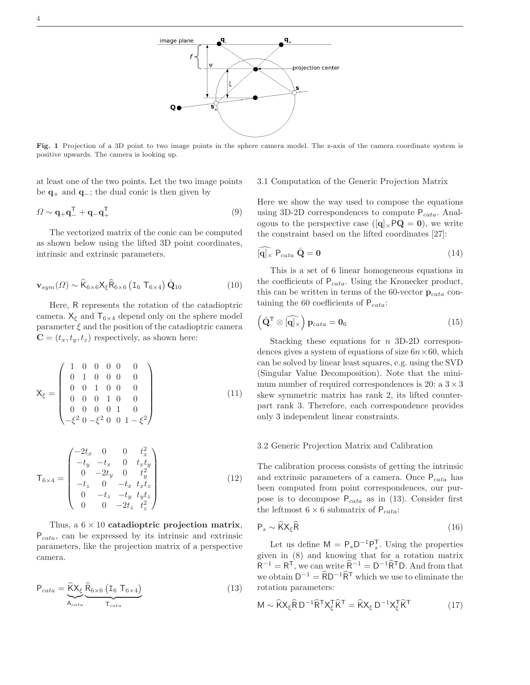

Fig. 1 Projection of a 3D point to two image points in the sphere camera model. The z-axis of the camera coordinate system is positive upwards. The camera is looking up.

at least one of the two points. Let the two image points be  $\mathbf{q}_+$  and  $\mathbf{q}_-$ ; the dual conic is then given by

$$
\Omega \sim \mathbf{q}_+ \mathbf{q}_-^{\mathsf{T}} + \mathbf{q}_- \mathbf{q}_+^{\mathsf{T}} \tag{9}
$$

The vectorized matrix of the conic can be computed as shown below using the lifted 3D point coordinates, intrinsic and extrinsic parameters.

$$
\mathbf{v}_{sym}(\Omega) \sim \widehat{\mathsf{K}}_{6\times6} \mathsf{X}_{\xi} \widehat{\mathsf{R}}_{6\times6} \left( \mathsf{I}_{6} \ \mathsf{T}_{6\times4} \right) \widehat{\mathbf{Q}}_{10} \tag{10}
$$

Here, R represents the rotation of the catadioptric camera.  $X_{\xi}$  and  $T_{6\times4}$  depend only on the sphere model parameter  $\xi$  and the position of the catadioptric camera  $\mathbf{C} = (t_x, t_y, t_z)$  respectively, as shown here:

$$
\mathbf{X}_{\xi} = \begin{pmatrix} 1 & 0 & 0 & 0 & 0 & 0 \\ 0 & 1 & 0 & 0 & 0 & 0 \\ 0 & 0 & 1 & 0 & 0 & 0 \\ 0 & 0 & 0 & 1 & 0 & 0 \\ 0 & 0 & 0 & 0 & 1 & 0 \\ -\xi^2 & 0 & -\xi^2 & 0 & 0 & 1 - \xi^2 \end{pmatrix}
$$
(11)

$$
\mathsf{T}_{6\times4} = \begin{pmatrix}\n-2t_x & 0 & 0 & t_x^2 \\
-t_y & -t_x & 0 & t_x t_y \\
0 & -2t_y & 0 & t_y^2 \\
-t_z & 0 & -t_x & t_x t_z \\
0 & -t_z & -t_y & t_y t_z \\
0 & 0 & -2t_z & t_z^2\n\end{pmatrix}
$$
\n(12)

Thus, a  $6 \times 10$  catadioptric projection matrix,  $P_{cata}$ , can be expressed by its intrinsic and extrinsic parameters, like the projection matrix of a perspective camera.

$$
P_{\text{cata}} = \underbrace{\hat{K}X_{\xi}}_{A_{\text{cata}}} \underbrace{\hat{R}_{6\times6} (I_6 T_{6\times4})}_{T_{\text{cata}}} \tag{13}
$$

#### 3.1 Computation of the Generic Projection Matrix

Here we show the way used to compose the equations using 3D-2D correspondences to compute  $P_{cata}$ . Analogous to the perspective case ( $[q]_{\times}PQ = 0$ ), we write the constraint based on the lifted coordinates [27]:

$$
\widehat{[\mathbf{q}]_{\times}} \; \mathsf{P}_{\text{cata}} \; \hat{\mathbf{Q}} = \mathbf{0} \tag{14}
$$

This is a set of 6 linear homogeneous equations in the coefficients of  $P_{\text{cata}}$ . Using the Kronecker product, this can be written in terms of the 60-vector  ${\bf p}_{\text{cata}}$  containing the 60 coefficients of  $P_{\text{cata}}$ :

$$
\left(\hat{\mathbf{Q}}^{\mathsf{T}}\otimes\widehat{[\mathbf{q}]_{\times}}\right)\mathbf{p}_{\text{cata}}=\mathbf{0}_{6}
$$
\n(15)

Stacking these equations for  $n$  3D-2D correspondences gives a system of equations of size  $6n \times 60$ , which can be solved by linear least squares, e.g. using the SVD (Singular Value Decomposition). Note that the minimum number of required correspondences is 20: a  $3 \times 3$ skew symmetric matrix has rank 2, its lifted counterpart rank 3. Therefore, each correspondence provides only 3 independent linear constraints.

## 3.2 Generic Projection Matrix and Calibration

The calibration process consists of getting the intrinsic and extrinsic parameters of a camera. Once  $P_{\text{cata}}$  has been computed from point correspondences, our purpose is to decompose  $P_{\text{cata}}$  as in (13). Consider first the leftmost  $6 \times 6$  submatrix of  $P_{\text{cata}}$ :

$$
P_s \sim \hat{K} X_{\xi} \hat{R}
$$
 (16)

Let us define  $M = P_s D^{-1} P_s^T$ . Using the properties given in (8) and knowing that for a rotation matrix  $R^{-1} = R^{T}$ , we can write  $\widehat{R}^{-1} = D^{-1} \widehat{R}^{T} D$ . And from that we obtain  $D^{-1} = \widehat{R}D^{-1}\widehat{R}^{\mathsf{T}}$  which we use to eliminate the rotation parameters:

$$
M \sim \widehat{K} X_{\xi} \widehat{R} D^{-1} \widehat{R}^{T} X_{\xi}^{T} \widehat{K}^{T} = \widehat{K} X_{\xi} D^{-1} X_{\xi}^{T} \widehat{K}^{T}
$$
(17)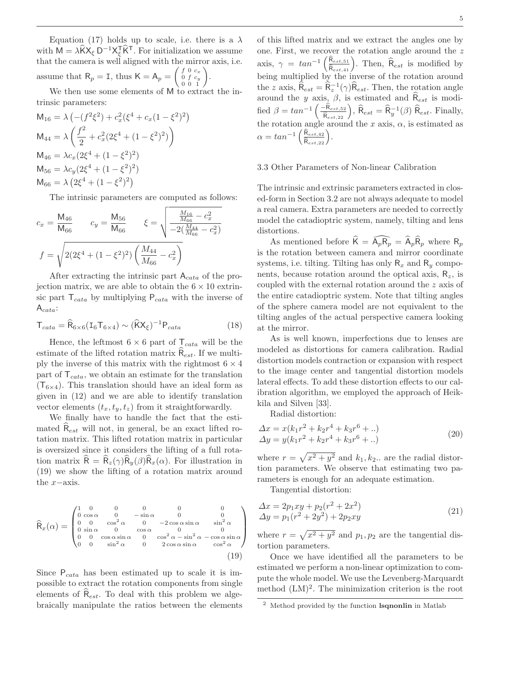Equation (17) holds up to scale, i.e. there is a  $\lambda$ with  $M = \lambda \hat{K} X_{\xi} D^{-1} X_{\xi}^T \hat{K}^T$ . For initialization we assume that the camera is well aligned with the mirror axis, i.e. assume that  $R_p = I$ , thus  $K = A_p = \begin{pmatrix} f & 0 & c_x \\ 0 & f & c_y \\ 0 & 0 & 1 \end{pmatrix}$ .

We then use some elements of M to extract the intrinsic parameters:

$$
M_{16} = \lambda \left( -(f^2 \xi^2) + c_x^2 (\xi^4 + c_x (1 - \xi^2)^2) \right)
$$
  
\n
$$
M_{44} = \lambda \left( \frac{f^2}{2} + c_x^2 (2\xi^4 + (1 - \xi^2)^2) \right)
$$
  
\n
$$
M_{46} = \lambda c_x (2\xi^4 + (1 - \xi^2)^2)
$$
  
\n
$$
M_{56} = \lambda c_y (2\xi^4 + (1 - \xi^2)^2)
$$
  
\n
$$
M_{66} = \lambda (2\xi^4 + (1 - \xi^2)^2)
$$

The intrinsic parameters are computed as follows:

$$
c_x = \frac{\mathsf{M}_{46}}{\mathsf{M}_{66}} \qquad c_y = \frac{\mathsf{M}_{56}}{\mathsf{M}_{66}} \qquad \xi = \sqrt{\frac{\frac{M_{16}}{M_{66}} - c_x^2}{-2(\frac{M_{44}}{M_{66}} - c_x^2)}}
$$

$$
f = \sqrt{2(2\xi^4 + (1 - \xi^2)^2) \left(\frac{M_{44}}{M_{66}} - c_x^2\right)}
$$

After extracting the intrinsic part  $A_{\text{cata}}$  of the projection matrix, we are able to obtain the  $6 \times 10$  extrinsic part  $T_{cata}$  by multiplying  $P_{cata}$  with the inverse of  $A_{\text{cata}}$ :

$$
T_{\text{cata}} = \widehat{R}_{6 \times 6} (I_6 T_{6 \times 4}) \sim (\widehat{K} X_{\xi})^{-1} P_{\text{cata}} \tag{18}
$$

Hence, the leftmost  $6 \times 6$  part of  $T_{cata}$  will be the estimate of the lifted rotation matrix  $\mathsf{R}_{est}$ . If we multiply the inverse of this matrix with the rightmost  $6 \times 4$ part of  $T_{cata}$ , we obtain an estimate for the translation  $(T_{6\times4})$ . This translation should have an ideal form as given in (12) and we are able to identify translation vector elements  $(t_x, t_y, t_z)$  from it straightforwardly.

We finally have to handle the fact that the estimated  $R_{est}$  will not, in general, be an exact lifted rotation matrix. This lifted rotation matrix in particular is oversized since it considers the lifting of a full rotation matrix  $\overline{\mathsf{R}} = \overline{\mathsf{R}}_z(\gamma)\overline{\mathsf{R}}_y(\beta)\overline{\mathsf{R}}_x(\alpha)$ . For illustration in (19) we show the lifting of a rotation matrix around the x−axis.

$$
\widehat{\mathsf{R}}_{x}(\alpha) = \begin{pmatrix}\n1 & 0 & 0 & 0 & 0 & 0 \\
0 & \cos \alpha & 0 & -\sin \alpha & 0 & 0 \\
0 & 0 & \cos^{2} \alpha & 0 & -2\cos \alpha \sin \alpha & \sin^{2} \alpha \\
0 & \sin \alpha & 0 & \cos \alpha & 0 & 0 \\
0 & 0 & \cos \alpha \sin \alpha & 0 & \cos^{2} \alpha - \sin^{2} \alpha - \cos \alpha \sin \alpha \\
0 & 0 & \sin^{2} \alpha & 0 & 2\cos \alpha \sin \alpha & \cos^{2} \alpha\n\end{pmatrix}
$$
\n(19)

Since  $P_{\text{cata}}$  has been estimated up to scale it is impossible to extract the rotation components from single elements of  $\mathsf{R}_{est}$ . To deal with this problem we algebraically manipulate the ratios between the elements

of this lifted matrix and we extract the angles one by one. First, we recover the rotation angle around the z axis,  $\gamma = \tan^{-1}\left(\frac{\hat{R}_{est,51}}{\hat{R}_{est,41}}\right)$ . Then,  $\hat{R}_{est}$  is modified by being multiplied by the inverse of the rotation around the z axis,  $\hat{\mathsf{R}}_{est} = \hat{\mathsf{R}}_z^{-1}(\gamma)\hat{\mathsf{R}}_{est}$ . Then, the rotation angle around the y axis,  $\beta$ , is estimated and  $\hat{\mathsf{R}}_{est}$  is modified  $\beta = \tan^{-1}\left(\frac{-\hat{\mathsf{R}}_{est,52}}{\hat{\mathsf{R}}_{est,22}}\right), \hat{\mathsf{R}}_{est} = \hat{\mathsf{R}}_{y}^{-1}(\beta) \hat{\mathsf{R}}_{est}$ . Finally, the rotation angle around the x axis,  $\alpha$ , is estimated as  $\alpha = \tan^{-1}\left(\frac{\widehat{\mathsf{R}}_{est,42}}{\widehat{\mathsf{R}}_{est,22}}\right).$ 

## 3.3 Other Parameters of Non-linear Calibration

The intrinsic and extrinsic parameters extracted in closed-form in Section 3.2 are not always adequate to model a real camera. Extra parameters are needed to correctly model the catadioptric system, namely, tilting and lens distortions.

As mentioned before  $\widehat{K} = \widehat{A}_p \widehat{R}_p = \widehat{A}_p \widehat{R}_p$  where  $R_p$ is the rotation between camera and mirror coordinate systems, i.e. tilting. Tilting has only  $R_x$  and  $R_y$  components, because rotation around the optical axis,  $R_z$ , is coupled with the external rotation around the z axis of the entire catadioptric system. Note that tilting angles of the sphere camera model are not equivalent to the tilting angles of the actual perspective camera looking at the mirror.

As is well known, imperfections due to lenses are modeled as distortions for camera calibration. Radial distortion models contraction or expansion with respect to the image center and tangential distortion models lateral effects. To add these distortion effects to our calibration algorithm, we employed the approach of Heikkila and Silven [33].

Radial distortion:

$$
\begin{aligned} \Delta x &= x(k_1 r^2 + k_2 r^4 + k_3 r^6 + \ldots) \\ \Delta y &= y(k_1 r^2 + k_2 r^4 + k_3 r^6 + \ldots) \end{aligned} \tag{20}
$$

where  $r = \sqrt{x^2 + y^2}$  and  $k_1, k_2$ . are the radial distortion parameters. We observe that estimating two parameters is enough for an adequate estimation.

Tangential distortion:

$$
\begin{aligned} \Delta x &= 2p_1xy + p_2(r^2 + 2x^2) \\ \Delta y &= p_1(r^2 + 2y^2) + 2p_2xy \end{aligned} \tag{21}
$$

where  $r = \sqrt{x^2 + y^2}$  and  $p_1, p_2$  are the tangential distortion parameters.

Once we have identified all the parameters to be estimated we perform a non-linear optimization to compute the whole model. We use the Levenberg-Marquardt method  $(LM)^2$ . The minimization criterion is the root

<sup>2</sup> Method provided by the function lsqnonlin in Matlab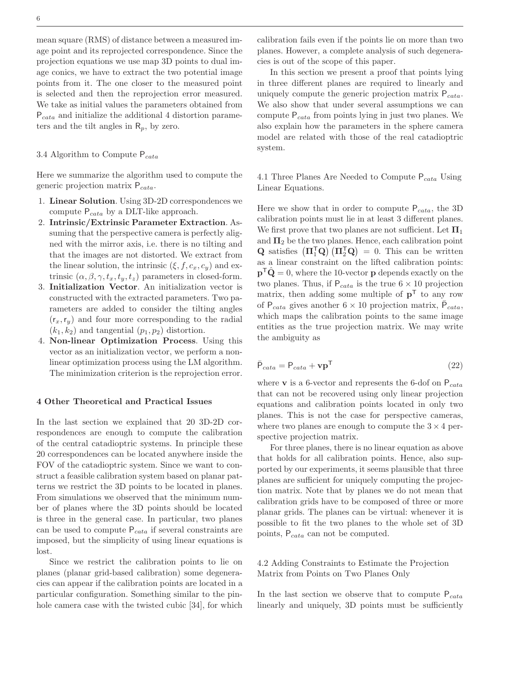mean square (RMS) of distance between a measured image point and its reprojected correspondence. Since the projection equations we use map 3D points to dual image conics, we have to extract the two potential image points from it. The one closer to the measured point is selected and then the reprojection error measured. We take as initial values the parameters obtained from  $P_{\text{cata}}$  and initialize the additional 4 distortion parameters and the tilt angles in  $\mathsf{R}_p$ , by zero.

## 3.4 Algorithm to Compute  $P_{\text{cata}}$

Here we summarize the algorithm used to compute the generic projection matrix  $P_{\text{cata}}$ .

- 1. Linear Solution. Using 3D-2D correspondences we compute  $P_{\text{cata}}$  by a DLT-like approach.
- 2. Intrinsic/Extrinsic Parameter Extraction. Assuming that the perspective camera is perfectly aligned with the mirror axis, i.e. there is no tilting and that the images are not distorted. We extract from the linear solution, the intrinsic  $(\xi, f, c_x, c_y)$  and extrinsic  $(\alpha, \beta, \gamma, t_x, t_y, t_z)$  parameters in closed-form.
- 3. Initialization Vector. An initialization vector is constructed with the extracted parameters. Two parameters are added to consider the tilting angles  $(r_x, r_y)$  and four more corresponding to the radial  $(k_1,k_2)$  and tangential  $(p_1,p_2)$  distortion.
- 4. Non-linear Optimization Process. Using this vector as an initialization vector, we perform a nonlinear optimization process using the LM algorithm. The minimization criterion is the reprojection error.

#### 4 Other Theoretical and Practical Issues

In the last section we explained that 20 3D-2D correspondences are enough to compute the calibration of the central catadioptric systems. In principle these 20 correspondences can be located anywhere inside the FOV of the catadioptric system. Since we want to construct a feasible calibration system based on planar patterns we restrict the 3D points to be located in planes. From simulations we observed that the minimum number of planes where the 3D points should be located is three in the general case. In particular, two planes can be used to compute  $P_{\text{cata}}$  if several constraints are imposed, but the simplicity of using linear equations is lost.

Since we restrict the calibration points to lie on planes (planar grid-based calibration) some degeneracies can appear if the calibration points are located in a particular configuration. Something similar to the pinhole camera case with the twisted cubic [34], for which

calibration fails even if the points lie on more than two planes. However, a complete analysis of such degeneracies is out of the scope of this paper.

In this section we present a proof that points lying in three different planes are required to linearly and uniquely compute the generic projection matrix  $P_{\text{cata}}$ . We also show that under several assumptions we can compute  $P_{\text{cata}}$  from points lying in just two planes. We also explain how the parameters in the sphere camera model are related with those of the real catadioptric system.

4.1 Three Planes Are Needed to Compute  $P_{\text{cata}}$  Using Linear Equations.

Here we show that in order to compute  $P_{\text{cata}}$ , the 3D calibration points must lie in at least 3 different planes. We first prove that two planes are not sufficient. Let  $\Pi_1$ and  $\Pi_2$  be the two planes. Hence, each calibration point **Q** satisfies  $(\Pi_1^{\mathsf{T}} \mathbf{Q}) (\Pi_2^{\mathsf{T}} \mathbf{Q}) = 0$ . This can be written as a linear constraint on the lifted calibration points:  $\mathbf{p}^{\mathsf{T}}\hat{\mathbf{Q}}=0$ , where the 10-vector **p** depends exactly on the two planes. Thus, if  $P_{\text{cata}}$  is the true  $6 \times 10$  projection matrix, then adding some multiple of  $p<sup>T</sup>$  to any row of  $P_{\text{cata}}$  gives another  $6 \times 10$  projection matrix,  $\overline{P}_{\text{cata}}$ , which maps the calibration points to the same image entities as the true projection matrix. We may write the ambiguity as

$$
\bar{\mathsf{P}}_{cata} = \mathsf{P}_{cata} + \mathbf{v}\mathbf{p}^{\mathsf{T}}
$$
\n(22)

where **v** is a 6-vector and represents the 6-dof on  $P_{\text{cata}}$ that can not be recovered using only linear projection equations and calibration points located in only two planes. This is not the case for perspective cameras, where two planes are enough to compute the  $3 \times 4$  perspective projection matrix.

For three planes, there is no linear equation as above that holds for all calibration points. Hence, also supported by our experiments, it seems plausible that three planes are sufficient for uniquely computing the projection matrix. Note that by planes we do not mean that calibration grids have to be composed of three or more planar grids. The planes can be virtual: whenever it is possible to fit the two planes to the whole set of 3D points,  $P_{\text{cata}}$  can not be computed.

4.2 Adding Constraints to Estimate the Projection Matrix from Points on Two Planes Only

In the last section we observe that to compute  $P_{\text{cata}}$ linearly and uniquely, 3D points must be sufficiently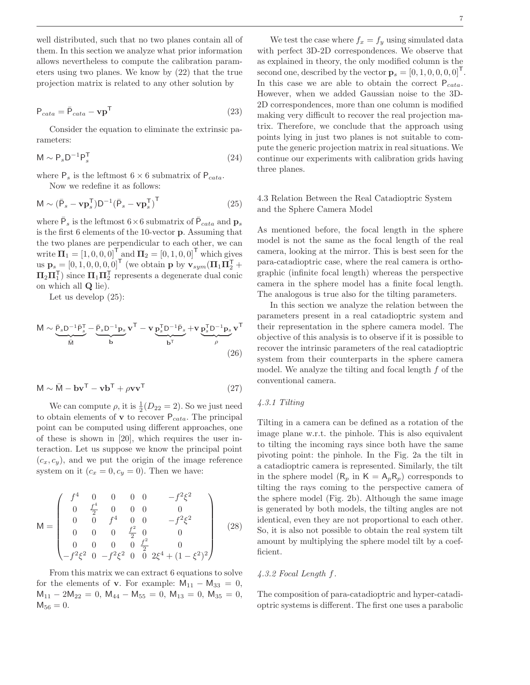well distributed, such that no two planes contain all of them. In this section we analyze what prior information allows nevertheless to compute the calibration parameters using two planes. We know by (22) that the true projection matrix is related to any other solution by

$$
P_{\text{cata}} = \bar{P}_{\text{cata}} - \mathbf{v} \mathbf{p}^{\mathsf{T}}
$$
\n(23)

Consider the equation to eliminate the extrinsic parameters:

$$
\mathsf{M} \sim \mathsf{P}_s \mathsf{D}^{-1} \mathsf{P}_s^{\mathsf{T}} \tag{24}
$$

where  $P_s$  is the leftmost  $6 \times 6$  submatrix of  $P_{\text{cata}}$ . Now we redefine it as follows:

$$
\mathsf{M} \sim (\bar{\mathsf{P}}_s - \mathbf{v} \mathbf{p}_s^{\mathsf{T}}) \mathsf{D}^{-1} (\bar{\mathsf{P}}_s - \mathbf{v} \mathbf{p}_s^{\mathsf{T}})^{\mathsf{T}}
$$
(25)

where  $\bar{P}_s$  is the leftmost  $6 \times 6$  submatrix of  $\bar{P}_{cata}$  and  $\mathbf{p}_s$ is the first 6 elements of the 10-vector p. Assuming that the two planes are perpendicular to each other, we can write  $\overline{\mathbf{\Pi}_1} = \begin{bmatrix} 1, 0, 0, 0 \end{bmatrix}^\mathsf{T}$  and  $\overline{\mathbf{\Pi}_2} = \begin{bmatrix} 0, 1, 0, 0 \end{bmatrix}^\mathsf{T}$  which gives us  $\mathbf{p}_s = [0, 1, 0, 0, 0, 0]^T$  (we obtain p by  $\mathbf{v}_{sym}(\Pi_1 \Pi_2^T +$  $\Pi_2\Pi_1^{\sf T}$ ) since  $\Pi_1\Pi_2^{\sf T}$  represents a degenerate dual conic on which all Q lie).

Let us develop (25):

$$
\mathsf{M} \sim \underbrace{\bar{\mathsf{P}}_s \mathsf{D}^{-1} \bar{\mathsf{P}}_s^{\mathsf{T}}}_{\mathsf{M}} - \underbrace{\bar{\mathsf{P}}_s \mathsf{D}^{-1} \mathsf{p}_s}_{\mathsf{b}} \mathbf{v}^{\mathsf{T}} - \mathbf{v} \underbrace{\mathsf{p}_s^{\mathsf{T}} \mathsf{D}^{-1} \bar{\mathsf{P}}_s}_{\mathsf{b}^{\mathsf{T}}} + \mathbf{v} \underbrace{\mathsf{p}_s^{\mathsf{T}} \mathsf{D}^{-1} \mathsf{p}_s}_{\rho} \mathbf{v}^{\mathsf{T}} \tag{26}
$$

$$
\mathbf{M} \sim \bar{\mathbf{M}} - \mathbf{b}\mathbf{v}^{\mathsf{T}} - \mathbf{v}\mathbf{b}^{\mathsf{T}} + \rho \mathbf{v}\mathbf{v}^{\mathsf{T}}
$$
 (27)

We can compute  $\rho$ , it is  $\frac{1}{2}(D_{22} = 2)$ . So we just need to obtain elements of **v** to recover  $P_{\text{cata}}$ . The principal point can be computed using different approaches, one of these is shown in [20], which requires the user interaction. Let us suppose we know the principal point  $(c_x, c_y)$ , and we put the origin of the image reference system on it  $(c_x = 0, c_y = 0)$ . Then we have:

$$
\mathsf{M} = \begin{pmatrix} f^4 & 0 & 0 & 0 & 0 & -f^2 \xi^2 \\ 0 & \frac{f^4}{2} & 0 & 0 & 0 & 0 \\ 0 & 0 & f^4 & 0 & 0 & -f^2 \xi^2 \\ 0 & 0 & 0 & \frac{f^2}{2} & 0 & 0 \\ 0 & 0 & 0 & 0 & \frac{f^2}{2} & 0 \\ -f^2 \xi^2 & 0 & -f^2 \xi^2 & 0 & 0 & 2\xi^4 + (1 - \xi^2)^2 \end{pmatrix}
$$
(28)

From this matrix we can extract 6 equations to solve for the elements of **v**. For example:  $M_{11} - M_{33} = 0$ ,  $M_{11} - 2M_{22} = 0$ ,  $M_{44} - M_{55} = 0$ ,  $M_{13} = 0$ ,  $M_{35} = 0$ ,  $M_{56} = 0.$ 

We test the case where  $f_x = f_y$  using simulated data with perfect 3D-2D correspondences. We observe that as explained in theory, the only modified column is the second one, described by the vector  $\mathbf{p}_s = \begin{bmatrix} 0, 1, 0, 0, 0, 0 \end{bmatrix}^T$ . In this case we are able to obtain the correct  $P_{\text{cata}}$ . However, when we added Gaussian noise to the 3D-2D correspondences, more than one column is modified making very difficult to recover the real projection matrix. Therefore, we conclude that the approach using points lying in just two planes is not suitable to compute the generic projection matrix in real situations. We continue our experiments with calibration grids having three planes.

## 4.3 Relation Between the Real Catadioptric System and the Sphere Camera Model

As mentioned before, the focal length in the sphere model is not the same as the focal length of the real camera, looking at the mirror. This is best seen for the para-catadioptric case, where the real camera is orthographic (infinite focal length) whereas the perspective camera in the sphere model has a finite focal length. The analogous is true also for the tilting parameters.

In this section we analyze the relation between the parameters present in a real catadioptric system and their representation in the sphere camera model. The objective of this analysis is to observe if it is possible to recover the intrinsic parameters of the real catadioptric system from their counterparts in the sphere camera model. We analyze the tilting and focal length f of the conventional camera.

## 4.3.1 Tilting

Tilting in a camera can be defined as a rotation of the image plane w.r.t. the pinhole. This is also equivalent to tilting the incoming rays since both have the same pivoting point: the pinhole. In the Fig. 2a the tilt in a catadioptric camera is represented. Similarly, the tilt in the sphere model  $(R_p \text{ in } K = A_p R_p)$  corresponds to tilting the rays coming to the perspective camera of the sphere model (Fig. 2b). Although the same image is generated by both models, the tilting angles are not identical, even they are not proportional to each other. So, it is also not possible to obtain the real system tilt amount by multiplying the sphere model tilt by a coefficient.

## 4.3.2 Focal Length f.

The composition of para-catadioptric and hyper-catadioptric systems is different. The first one uses a parabolic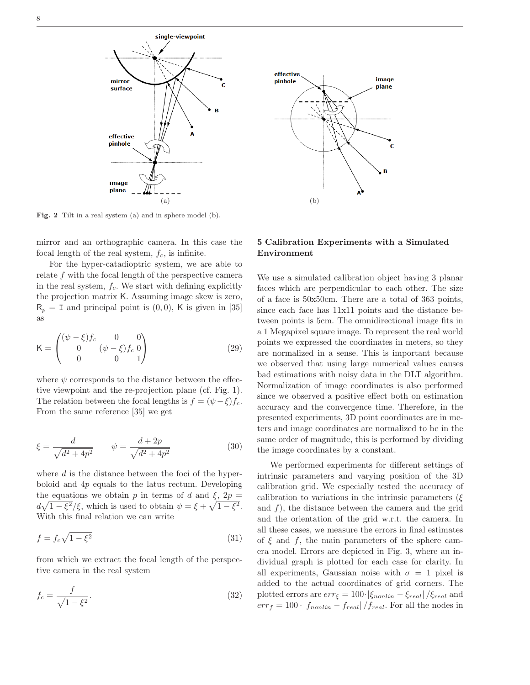

Fig. 2 Tilt in a real system (a) and in sphere model (b).

mirror and an orthographic camera. In this case the focal length of the real system,  $f_c$ , is infinite.

For the hyper-catadioptric system, we are able to relate  $f$  with the focal length of the perspective camera in the real system,  $f_c$ . We start with defining explicitly the projection matrix K. Assuming image skew is zero,  $R_p = I$  and principal point is  $(0, 0)$ , K is given in [35] as

$$
\mathsf{K} = \begin{pmatrix} (\psi - \xi)f_c & 0 & 0\\ 0 & (\psi - \xi)f_c & 0\\ 0 & 0 & 1 \end{pmatrix} \tag{29}
$$

where  $\psi$  corresponds to the distance between the effective viewpoint and the re-projection plane (cf. Fig. 1). The relation between the focal lengths is  $f = (\psi - \xi) f_c$ . From the same reference [35] we get

$$
\xi = \frac{d}{\sqrt{d^2 + 4p^2}} \qquad \psi = \frac{d + 2p}{\sqrt{d^2 + 4p^2}} \tag{30}
$$

where  $d$  is the distance between the foci of the hyperboloid and  $4p$  equals to the latus rectum. Developing the equations we obtain p in terms of d and  $\xi$ ,  $2p =$  $d\sqrt{1-\xi^2}/\xi$ , which is used to obtain  $\psi = \xi + \sqrt{1-\xi^2}$ . With this final relation we can write

$$
f = f_c \sqrt{1 - \xi^2} \tag{31}
$$

from which we extract the focal length of the perspective camera in the real system

$$
f_c = \frac{f}{\sqrt{1 - \xi^2}}.\tag{32}
$$



## 5 Calibration Experiments with a Simulated Environment

We use a simulated calibration object having 3 planar faces which are perpendicular to each other. The size of a face is 50x50cm. There are a total of 363 points, since each face has 11x11 points and the distance between points is 5cm. The omnidirectional image fits in a 1 Megapixel square image. To represent the real world points we expressed the coordinates in meters, so they are normalized in a sense. This is important because we observed that using large numerical values causes bad estimations with noisy data in the DLT algorithm. Normalization of image coordinates is also performed since we observed a positive effect both on estimation accuracy and the convergence time. Therefore, in the presented experiments, 3D point coordinates are in meters and image coordinates are normalized to be in the same order of magnitude, this is performed by dividing the image coordinates by a constant.

We performed experiments for different settings of intrinsic parameters and varying position of the 3D calibration grid. We especially tested the accuracy of calibration to variations in the intrinsic parameters ( $\xi$ and  $f$ ), the distance between the camera and the grid and the orientation of the grid w.r.t. the camera. In all these cases, we measure the errors in final estimates of  $\xi$  and  $f$ , the main parameters of the sphere camera model. Errors are depicted in Fig. 3, where an individual graph is plotted for each case for clarity. In all experiments, Gaussian noise with  $\sigma = 1$  pixel is added to the actual coordinates of grid corners. The plotted errors are  $err_{\xi} = 100 \cdot |\xi_{nonlin} - \xi_{real}| / \xi_{real}$  and  $err_f = 100 \cdot |f_{nonlin} - f_{real}|/f_{real}$ . For all the nodes in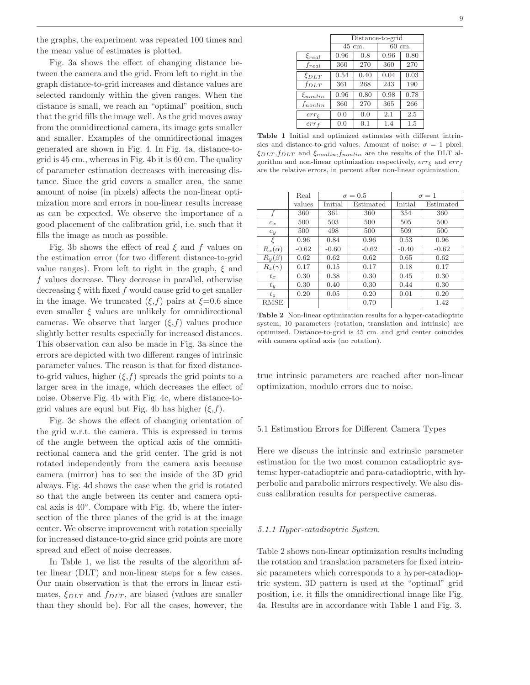the graphs, the experiment was repeated 100 times and the mean value of estimates is plotted.

Fig. 3a shows the effect of changing distance between the camera and the grid. From left to right in the graph distance-to-grid increases and distance values are selected randomly within the given ranges. When the distance is small, we reach an "optimal" position, such that the grid fills the image well. As the grid moves away from the omnidirectional camera, its image gets smaller and smaller. Examples of the omnidirectional images generated are shown in Fig. 4. In Fig. 4a, distance-togrid is 45 cm., whereas in Fig. 4b it is 60 cm. The quality of parameter estimation decreases with increasing distance. Since the grid covers a smaller area, the same amount of noise (in pixels) affects the non-linear optimization more and errors in non-linear results increase as can be expected. We observe the importance of a good placement of the calibration grid, i.e. such that it fills the image as much as possible.

Fig. 3b shows the effect of real  $\xi$  and  $f$  values on the estimation error (for two different distance-to-grid value ranges). From left to right in the graph,  $\xi$  and f values decrease. They decrease in parallel, otherwise decreasing  $\xi$  with fixed f would cause grid to get smaller in the image. We truncated  $(\xi, f)$  pairs at  $\xi = 0.6$  since even smaller  $\xi$  values are unlikely for omnidirectional cameras. We observe that larger  $(\xi, f)$  values produce slightly better results especially for increased distances. This observation can also be made in Fig. 3a since the errors are depicted with two different ranges of intrinsic parameter values. The reason is that for fixed distanceto-grid values, higher  $(\xi, f)$  spreads the grid points to a larger area in the image, which decreases the effect of noise. Observe Fig. 4b with Fig. 4c, where distance-togrid values are equal but Fig. 4b has higher  $(\xi, f)$ .

Fig. 3c shows the effect of changing orientation of the grid w.r.t. the camera. This is expressed in terms of the angle between the optical axis of the omnidirectional camera and the grid center. The grid is not rotated independently from the camera axis because camera (mirror) has to see the inside of the 3D grid always. Fig. 4d shows the case when the grid is rotated so that the angle between its center and camera optical axis is 40◦ . Compare with Fig. 4b, where the intersection of the three planes of the grid is at the image center. We observe improvement with rotation specially for increased distance-to-grid since grid points are more spread and effect of noise decreases.

In Table 1, we list the results of the algorithm after linear (DLT) and non-linear steps for a few cases. Our main observation is that the errors in linear estimates,  $\xi_{DLT}$  and  $f_{DLT}$ , are biased (values are smaller than they should be). For all the cases, however, the

|                     | Distance-to-grid |      |        |      |  |  |
|---------------------|------------------|------|--------|------|--|--|
|                     | 45 cm.           |      | 60 cm. |      |  |  |
| $\xi_{real}$        | 0.96             | 0.8  | 0.96   | 0.80 |  |  |
| $f_{real}$          | 360              | 270  | 360    | 270  |  |  |
| $\xi_{DLT}$         | 0.54             | 0.40 | 0.04   | 0.03 |  |  |
| $f_{DLT}$           | 361              | 268  | 243    | 190  |  |  |
| $\xi_{nonlin}$      | 0.96             | 0.80 | 0.98   | 0.78 |  |  |
| $f_{nonlin}$        | 360              | 270  | 365    | 266  |  |  |
| $err_{\mathcal{E}}$ | 0.0              | 0.0  | 2.1    | 2.5  |  |  |
| $err_f$             | 0.0              | 0.1  | 1.4    | 1.5  |  |  |

Table 1 Initial and optimized estimates with different intrinsics and distance-to-grid values. Amount of noise:  $\sigma = 1$  pixel.  $\xi_{DLT},f_{DLT}$  and  $\xi_{nonlin},f_{nonlin}$  are the results of the DLT algorithm and non-linear optimization respectively,  $err_{\xi}$  and  $err_{f}$ are the relative errors, in percent after non-linear optimization.

|                          | Real    | $\sigma = 0.5$ |           | $\sigma = 1$ |           |
|--------------------------|---------|----------------|-----------|--------------|-----------|
|                          | values  | Initial        | Estimated | Initial      | Estimated |
| f                        | 360     | 361            | 360       | 354          | 360       |
| $c_x$                    | 500     | 503            | 500       | 505          | 500       |
| $c_y$                    | 500     | 498            | 500       | 509          | 500       |
| ξ                        | 0.96    | 0.84           | 0.96      | 0.53         | 0.96      |
| $R_x(\alpha)$            | $-0.62$ | $-0.60$        | $-0.62$   | $-0.40$      | $-0.62$   |
| $R_{\mathcal{U}}(\beta)$ | 0.62    | 0.62           | 0.62      | 0.65         | 0.62      |
| $R_z(\gamma)$            | 0.17    | 0.15           | 0.17      | 0.18         | 0.17      |
| $t_x$                    | 0.30    | 0.38           | 0.30      | 0.45         | 0.30      |
| $t_{y}$                  | 0.30    | 0.40           | 0.30      | 0.44         | 0.30      |
| $t_z$                    | 0.20    | 0.05           | 0.20      | 0.01         | 0.20      |
| <b>RMSE</b>              |         |                | 0.70      |              | 1.42      |

Table 2 Non-linear optimization results for a hyper-catadioptric system, 10 parameters (rotation, translation and intrinsic) are optimized. Distance-to-grid is 45 cm. and grid center coincides with camera optical axis (no rotation).

true intrinsic parameters are reached after non-linear optimization, modulo errors due to noise.

### 5.1 Estimation Errors for Different Camera Types

Here we discuss the intrinsic and extrinsic parameter estimation for the two most common catadioptric systems: hyper-catadioptric and para-catadioptric, with hyperbolic and parabolic mirrors respectively. We also discuss calibration results for perspective cameras.

## 5.1.1 Hyper-catadioptric System.

Table 2 shows non-linear optimization results including the rotation and translation parameters for fixed intrinsic parameters which corresponds to a hyper-catadioptric system. 3D pattern is used at the "optimal" grid position, i.e. it fills the omnidirectional image like Fig. 4a. Results are in accordance with Table 1 and Fig. 3.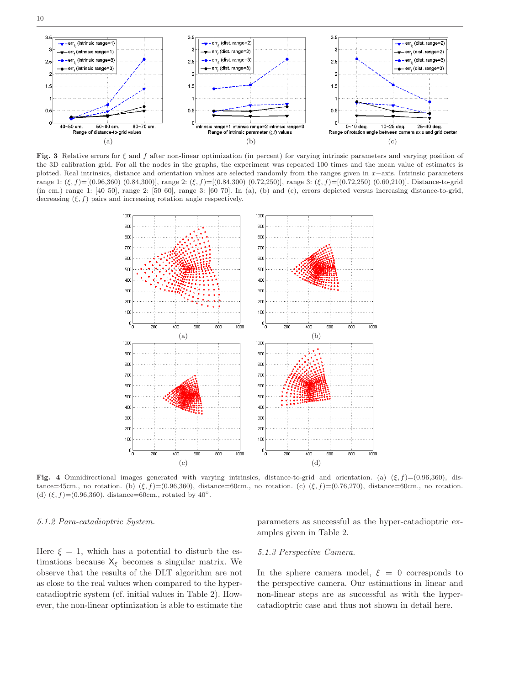

10



Fig. 3 Relative errors for  $\xi$  and  $f$  after non-linear optimization (in percent) for varying intrinsic parameters and varying position of the 3D calibration grid. For all the nodes in the graphs, the experiment was repeated 100 times and the mean value of estimates is plotted. Real intrinsics, distance and orientation values are selected randomly from the ranges given in x−axis. Intrinsic parameters range 1:  $(\xi, f)=[(0.96,360) (0.84,300)]$ , range 2:  $(\xi, f)=[(0.84,300) (0.72,250)]$ , range 3:  $(\xi, f)=[(0.72,250) (0.60,210)]$ . Distance-to-grid (in cm.) range 1: [40 50], range 2: [50 60], range 3: [60 70]. In (a), (b) and (c), errors depicted versus increasing distance-to-grid, decreasing  $(\xi, f)$  pairs and increasing rotation angle respectively.



Fig. 4 Omnidirectional images generated with varying intrinsics, distance-to-grid and orientation. (a)  $(\xi, f) = (0.96,360)$ , distance=45cm., no rotation. (b)  $(\xi, f)$ =(0.96,360), distance=60cm., no rotation. (c)  $(\xi, f)$ =(0.76,270), distance=60cm., no rotation. (d)  $(\xi, f)=(0.96,360)$ , distance=60cm., rotated by 40°.

## 5.1.2 Para-catadioptric System.

Here  $\xi = 1$ , which has a potential to disturb the estimations because  $X_{\xi}$  becomes a singular matrix. We observe that the results of the DLT algorithm are not as close to the real values when compared to the hypercatadioptric system (cf. initial values in Table 2). However, the non-linear optimization is able to estimate the parameters as successful as the hyper-catadioptric examples given in Table 2.

## 5.1.3 Perspective Camera.

In the sphere camera model,  $\xi = 0$  corresponds to the perspective camera. Our estimations in linear and non-linear steps are as successful as with the hypercatadioptric case and thus not shown in detail here.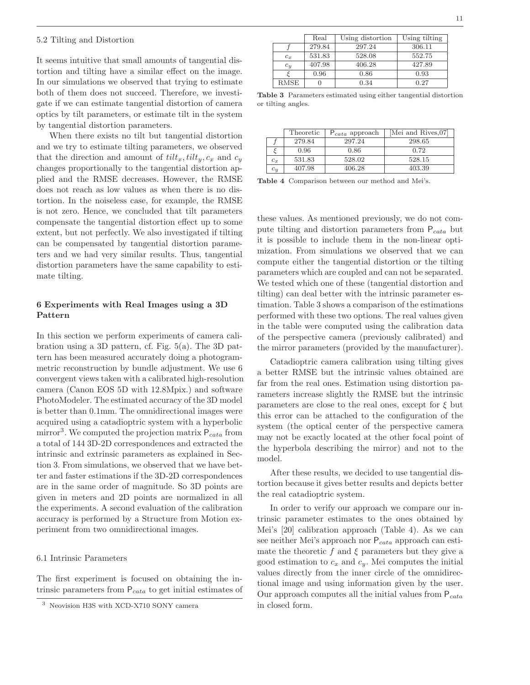#### 5.2 Tilting and Distortion

It seems intuitive that small amounts of tangential distortion and tilting have a similar effect on the image. In our simulations we observed that trying to estimate both of them does not succeed. Therefore, we investigate if we can estimate tangential distortion of camera optics by tilt parameters, or estimate tilt in the system by tangential distortion parameters.

When there exists no tilt but tangential distortion and we try to estimate tilting parameters, we observed that the direction and amount of  $\text{tilt}_x$ ,  $\text{tilt}_y$ ,  $c_x$  and  $c_y$ changes proportionally to the tangential distortion applied and the RMSE decreases. However, the RMSE does not reach as low values as when there is no distortion. In the noiseless case, for example, the RMSE is not zero. Hence, we concluded that tilt parameters compensate the tangential distortion effect up to some extent, but not perfectly. We also investigated if tilting can be compensated by tangential distortion parameters and we had very similar results. Thus, tangential distortion parameters have the same capability to estimate tilting.

## 6 Experiments with Real Images using a 3D Pattern

In this section we perform experiments of camera calibration using a 3D pattern, cf. Fig. 5(a). The 3D pattern has been measured accurately doing a photogrammetric reconstruction by bundle adjustment. We use 6 convergent views taken with a calibrated high-resolution camera (Canon EOS 5D with 12.8Mpix.) and software PhotoModeler. The estimated accuracy of the 3D model is better than 0.1mm. The omnidirectional images were acquired using a catadioptric system with a hyperbolic mirror<sup>3</sup>. We computed the projection matrix  $P_{\text{cata}}$  from a total of 144 3D-2D correspondences and extracted the intrinsic and extrinsic parameters as explained in Section 3. From simulations, we observed that we have better and faster estimations if the 3D-2D correspondences are in the same order of magnitude. So 3D points are given in meters and 2D points are normalized in all the experiments. A second evaluation of the calibration accuracy is performed by a Structure from Motion experiment from two omnidirectional images.

### 6.1 Intrinsic Parameters

The first experiment is focused on obtaining the intrinsic parameters from  $P_{\text{cata}}$  to get initial estimates of

|       | Real   | Using distortion | Using tilting |
|-------|--------|------------------|---------------|
|       | 279.84 | 297.24           | 306.11        |
| $c_x$ | 531.83 | 528.08           | 552.75        |
| $c_y$ | 407.98 | 406.28           | 427.89        |
|       | 0.96   | 0.86             | 0.93          |
| RMSE  |        | 0.34             | 0.27          |

Table 3 Parameters estimated using either tangential distortion or tilting angles.

|       | Theoretic | $P_{\text{cata}}$ approach | Mei and Rives, 07 |
|-------|-----------|----------------------------|-------------------|
|       | 279.84    | 297.24                     | 298.65            |
|       | 0.96      | 0.86                       | 0.72              |
| $c_x$ | 531.83    | 528.02                     | 528.15            |
| $c_y$ | 407.98    | 406.28                     | 403.39            |

Table 4 Comparison between our method and Mei's.

these values. As mentioned previously, we do not compute tilting and distortion parameters from  $P_{\text{cata}}$  but it is possible to include them in the non-linear optimization. From simulations we observed that we can compute either the tangential distortion or the tilting parameters which are coupled and can not be separated. We tested which one of these (tangential distortion and tilting) can deal better with the intrinsic parameter estimation. Table 3 shows a comparison of the estimations performed with these two options. The real values given in the table were computed using the calibration data of the perspective camera (previously calibrated) and the mirror parameters (provided by the manufacturer).

Catadioptric camera calibration using tilting gives a better RMSE but the intrinsic values obtained are far from the real ones. Estimation using distortion parameters increase slightly the RMSE but the intrinsic parameters are close to the real ones, except for  $\xi$  but this error can be attached to the configuration of the system (the optical center of the perspective camera may not be exactly located at the other focal point of the hyperbola describing the mirror) and not to the model.

After these results, we decided to use tangential distortion because it gives better results and depicts better the real catadioptric system.

In order to verify our approach we compare our intrinsic parameter estimates to the ones obtained by Mei's [20] calibration approach (Table 4). As we can see neither Mei's approach nor  $P_{\text{cata}}$  approach can estimate the theoretic f and  $\xi$  parameters but they give a good estimation to  $c_x$  and  $c_y$ . Mei computes the initial values directly from the inner circle of the omnidirectional image and using information given by the user. Our approach computes all the initial values from  $P_{\text{cata}}$ in closed form.

<sup>3</sup> Neovision H3S with XCD-X710 SONY camera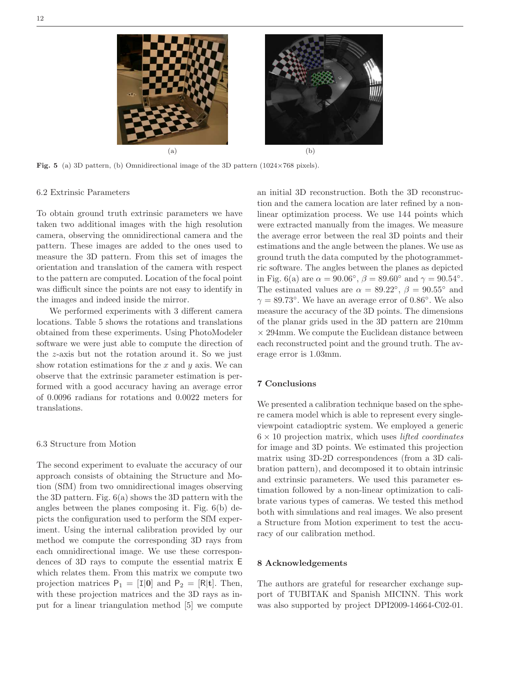

**Fig. 5** (a) 3D pattern, (b) Omnidirectional image of the 3D pattern (1024×768 pixels).

## 6.2 Extrinsic Parameters

To obtain ground truth extrinsic parameters we have taken two additional images with the high resolution camera, observing the omnidirectional camera and the pattern. These images are added to the ones used to measure the 3D pattern. From this set of images the orientation and translation of the camera with respect to the pattern are computed. Location of the focal point was difficult since the points are not easy to identify in the images and indeed inside the mirror.

We performed experiments with 3 different camera locations. Table 5 shows the rotations and translations obtained from these experiments. Using PhotoModeler software we were just able to compute the direction of the z-axis but not the rotation around it. So we just show rotation estimations for the  $x$  and  $y$  axis. We can observe that the extrinsic parameter estimation is performed with a good accuracy having an average error of 0.0096 radians for rotations and 0.0022 meters for translations.

## 6.3 Structure from Motion

The second experiment to evaluate the accuracy of our approach consists of obtaining the Structure and Motion (SfM) from two omnidirectional images observing the 3D pattern. Fig. 6(a) shows the 3D pattern with the angles between the planes composing it. Fig. 6(b) depicts the configuration used to perform the SfM experiment. Using the internal calibration provided by our method we compute the corresponding 3D rays from each omnidirectional image. We use these correspondences of 3D rays to compute the essential matrix E which relates them. From this matrix we compute two projection matrices  $P_1 = [I|0]$  and  $P_2 = [R|t]$ . Then, with these projection matrices and the 3D rays as input for a linear triangulation method [5] we compute an initial 3D reconstruction. Both the 3D reconstruction and the camera location are later refined by a nonlinear optimization process. We use 144 points which were extracted manually from the images. We measure the average error between the real 3D points and their estimations and the angle between the planes. We use as ground truth the data computed by the photogrammetric software. The angles between the planes as depicted in Fig. 6(a) are  $\alpha = 90.06^{\circ}$ ,  $\beta = 89.60^{\circ}$  and  $\gamma = 90.54^{\circ}$ . The estimated values are  $\alpha = 89.22^{\circ}, \beta = 90.55^{\circ}$  and  $\gamma = 89.73^{\circ}$ . We have an average error of 0.86°. We also measure the accuracy of the 3D points. The dimensions of the planar grids used in the 3D pattern are 210mm  $\times$  294mm. We compute the Euclidean distance between each reconstructed point and the ground truth. The average error is 1.03mm.

## 7 Conclusions

We presented a calibration technique based on the sphere camera model which is able to represent every singleviewpoint catadioptric system. We employed a generic  $6 \times 10$  projection matrix, which uses *lifted coordinates* for image and 3D points. We estimated this projection matrix using 3D-2D correspondences (from a 3D calibration pattern), and decomposed it to obtain intrinsic and extrinsic parameters. We used this parameter estimation followed by a non-linear optimization to calibrate various types of cameras. We tested this method both with simulations and real images. We also present a Structure from Motion experiment to test the accuracy of our calibration method.

#### 8 Acknowledgements

The authors are grateful for researcher exchange support of TUBITAK and Spanish MICINN. This work was also supported by project DPI2009-14664-C02-01.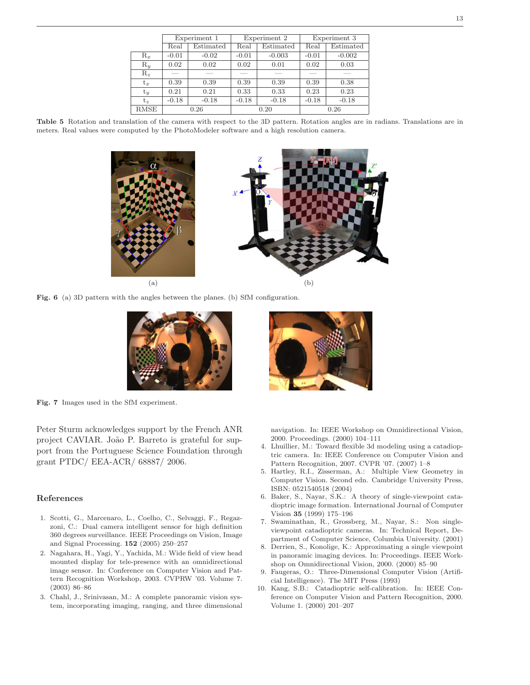|             | Experiment 1 |           | Experiment 2 |           | Experiment 3 |           |
|-------------|--------------|-----------|--------------|-----------|--------------|-----------|
|             | Real         | Estimated | Real         | Estimated | Real         | Estimated |
| $R_x$       | $-0.01$      | $-0.02$   | $-0.01$      | $-0.003$  | $-0.01$      | $-0.002$  |
| $R_u$       | 0.02         | 0.02      | 0.02         | 0.01      | 0.02         | 0.03      |
| $R_z$       |              |           |              |           |              |           |
| $t_x$       | 0.39         | 0.39      | 0.39         | 0.39      | 0.39         | 0.38      |
| $t_y$       | 0.21         | 0.21      | 0.33         | 0.33      | 0.23         | 0.23      |
| t.          | $-0.18$      | $-0.18$   | $-0.18$      | $-0.18$   | $-0.18$      | $-0.18$   |
| <b>RMSE</b> | 0.26         |           | 0.20         |           | 0.26         |           |

Table 5 Rotation and translation of the camera with respect to the 3D pattern. Rotation angles are in radians. Translations are in meters. Real values were computed by the PhotoModeler software and a high resolution camera.



Fig. 6 (a) 3D pattern with the angles between the planes. (b) SfM configuration.



Fig. 7 Images used in the SfM experiment.

Peter Sturm acknowledges support by the French ANR project CAVIAR. João P. Barreto is grateful for support from the Portuguese Science Foundation through grant PTDC/ EEA-ACR/ 68887/ 2006.

## References

- 1. Scotti, G., Marcenaro, L., Coelho, C., Selvaggi, F., Regazzoni, C.: Dual camera intelligent sensor for high definition 360 degrees surveillance. IEEE Proceedings on Vision, Image and Signal Processing. 152 (2005) 250–257
- 2. Nagahara, H., Yagi, Y., Yachida, M.: Wide field of view head mounted display for tele-presence with an omnidirectional image sensor. In: Conference on Computer Vision and Pattern Recognition Workshop, 2003. CVPRW '03. Volume 7. (2003) 86–86
- 3. Chahl, J., Srinivasan, M.: A complete panoramic vision system, incorporating imaging, ranging, and three dimensional



- navigation. In: IEEE Workshop on Omnidirectional Vision, 2000. Proceedings. (2000) 104–111
- 4. Lhuillier, M.: Toward flexible 3d modeling using a catadioptric camera. In: IEEE Conference on Computer Vision and Pattern Recognition, 2007. CVPR '07. (2007) 1–8
- 5. Hartley, R.I., Zisserman, A.: Multiple View Geometry in Computer Vision. Second edn. Cambridge University Press, ISBN: 0521540518 (2004)
- 6. Baker, S., Nayar, S.K.: A theory of single-viewpoint catadioptric image formation. International Journal of Computer Vision 35 (1999) 175–196
- 7. Swaminathan, R., Grossberg, M., Nayar, S.: Non singleviewpoint catadioptric cameras. In: Technical Report, Department of Computer Science, Columbia University. (2001)
- 8. Derrien, S., Konolige, K.: Approximating a single viewpoint in panoramic imaging devices. In: Proceedings. IEEE Workshop on Omnidirectional Vision, 2000. (2000) 85–90
- 9. Faugeras, O.: Three-Dimensional Computer Vision (Artificial Intelligence). The MIT Press (1993)
- 10. Kang, S.B.: Catadioptric self-calibration. In: IEEE Conference on Computer Vision and Pattern Recognition, 2000. Volume 1. (2000) 201–207